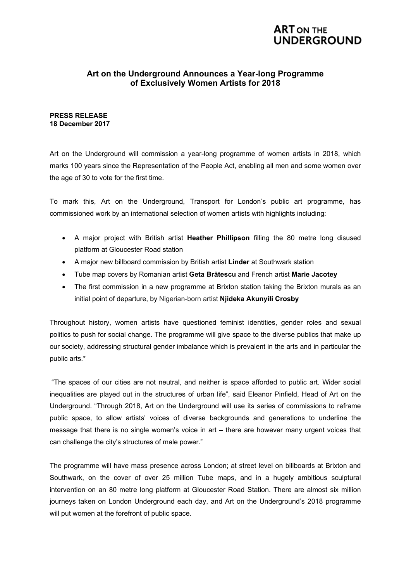### **ART ON THE UNDERGROUND**

### **Art on the Underground Announces a Year-long Programme of Exclusively Women Artists for 2018**

### **PRESS RELEASE 18 December 2017**

Art on the Underground will commission a year-long programme of women artists in 2018, which marks 100 years since the Representation of the People Act, enabling all men and some women over the age of 30 to vote for the first time.

To mark this, Art on the Underground, Transport for London's public art programme, has commissioned work by an international selection of women artists with highlights including:

- A major project with British artist **Heather Phillipson** filling the 80 metre long disused platform at Gloucester Road station
- A major new billboard commission by British artist **Linder** at Southwark station
- Tube map covers by Romanian artist **Geta Brătescu** and French artist **Marie Jacotey**
- The first commission in a new programme at Brixton station taking the Brixton murals as an initial point of departure, by Nigerian-born artist **Njideka Akunyili Crosby**

Throughout history, women artists have questioned feminist identities, gender roles and sexual politics to push for social change. The programme will give space to the diverse publics that make up our society, addressing structural gender imbalance which is prevalent in the arts and in particular the public arts.\*

 "The spaces of our cities are not neutral, and neither is space afforded to public art. Wider social inequalities are played out in the structures of urban life", said Eleanor Pinfield, Head of Art on the Underground. "Through 2018, Art on the Underground will use its series of commissions to reframe public space, to allow artists' voices of diverse backgrounds and generations to underline the message that there is no single women's voice in art – there are however many urgent voices that can challenge the city's structures of male power."

The programme will have mass presence across London; at street level on billboards at Brixton and Southwark, on the cover of over 25 million Tube maps, and in a hugely ambitious sculptural intervention on an 80 metre long platform at Gloucester Road Station. There are almost six million journeys taken on London Underground each day, and Art on the Underground's 2018 programme will put women at the forefront of public space.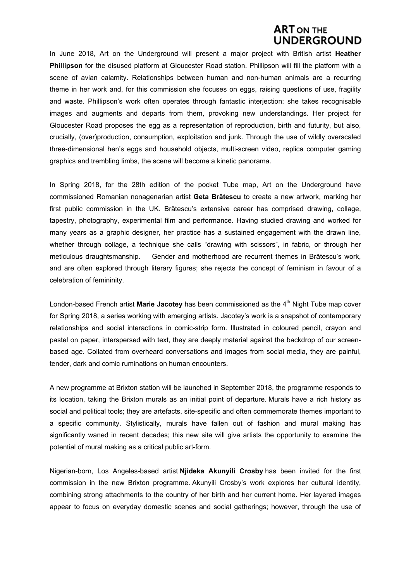### **ART ON THE JDERGROUND**

In June 2018, Art on the Underground will present a major project with British artist **Heather Phillipson** for the disused platform at Gloucester Road station. Phillipson will fill the platform with a scene of avian calamity. Relationships between human and non-human animals are a recurring theme in her work and, for this commission she focuses on eggs, raising questions of use, fragility and waste. Phillipson's work often operates through fantastic interjection; she takes recognisable images and augments and departs from them, provoking new understandings. Her project for Gloucester Road proposes the egg as a representation of reproduction, birth and futurity, but also, crucially, (over)production, consumption, exploitation and junk. Through the use of wildly overscaled three-dimensional hen's eggs and household objects, multi-screen video, replica computer gaming graphics and trembling limbs, the scene will become a kinetic panorama.

In Spring 2018, for the 28th edition of the pocket Tube map, Art on the Underground have commissioned Romanian nonagenarian artist **Geta Brătescu** to create a new artwork, marking her first public commission in the UK. Brătescu's extensive career has comprised drawing, collage, tapestry, photography, experimental film and performance. Having studied drawing and worked for many years as a graphic designer, her practice has a sustained engagement with the drawn line. whether through collage, a technique she calls "drawing with scissors", in fabric, or through her meticulous draughtsmanship. Gender and motherhood are recurrent themes in Brătescu's work, and are often explored through literary figures; she rejects the concept of feminism in favour of a celebration of femininity.

London-based French artist Marie Jacotey has been commissioned as the 4<sup>th</sup> Night Tube map cover for Spring 2018, a series working with emerging artists. Jacotey's work is a snapshot of contemporary relationships and social interactions in comic-strip form. Illustrated in coloured pencil, crayon and pastel on paper, interspersed with text, they are deeply material against the backdrop of our screenbased age. Collated from overheard conversations and images from social media, they are painful, tender, dark and comic ruminations on human encounters.

A new programme at Brixton station will be launched in September 2018, the programme responds to its location, taking the Brixton murals as an initial point of departure. Murals have a rich history as social and political tools; they are artefacts, site-specific and often commemorate themes important to a specific community. Stylistically, murals have fallen out of fashion and mural making has significantly waned in recent decades; this new site will give artists the opportunity to examine the potential of mural making as a critical public art-form.

Nigerian-born, Los Angeles-based artist **Njideka Akunyili Crosby** has been invited for the first commission in the new Brixton programme. Akunyili Crosby's work explores her cultural identity, combining strong attachments to the country of her birth and her current home. Her layered images appear to focus on everyday domestic scenes and social gatherings; however, through the use of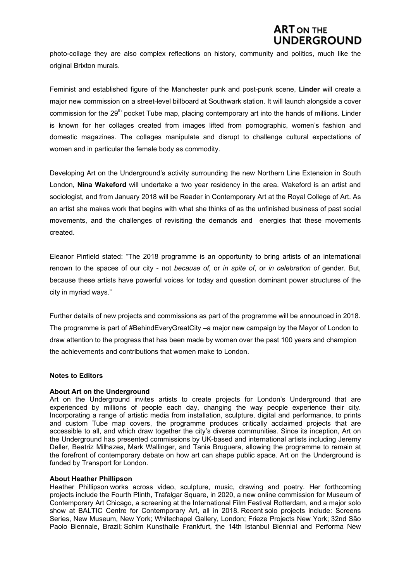# **ART ON THE** UNDERGROUND

photo-collage they are also complex reflections on history, community and politics, much like the original Brixton murals.

Feminist and established figure of the Manchester punk and post-punk scene, **Linder** will create a major new commission on a street-level billboard at Southwark station. It will launch alongside a cover commission for the 29<sup>th</sup> pocket Tube map, placing contemporary art into the hands of millions. Linder is known for her collages created from images lifted from pornographic, women's fashion and domestic magazines. The collages manipulate and disrupt to challenge cultural expectations of women and in particular the female body as commodity.

Developing Art on the Underground's activity surrounding the new Northern Line Extension in South London, **Nina Wakeford** will undertake a two year residency in the area. Wakeford is an artist and sociologist, and from January 2018 will be Reader in Contemporary Art at the Royal College of Art. As an artist she makes work that begins with what she thinks of as the unfinished business of past social movements, and the challenges of revisiting the demands and energies that these movements created.

Eleanor Pinfield stated: "The 2018 programme is an opportunity to bring artists of an international renown to the spaces of our city - not *because of,* or *in spite of*, or *in celebration of* gender. But, because these artists have powerful voices for today and question dominant power structures of the city in myriad ways."

Further details of new projects and commissions as part of the programme will be announced in 2018. The programme is part of #BehindEveryGreatCity –a major new campaign by the Mayor of London to draw attention to the progress that has been made by women over the past 100 years and champion the achievements and contributions that women make to London.

### **Notes to Editors**

### **About Art on the Underground**

Art on the Underground invites artists to create projects for London's Underground that are experienced by millions of people each day, changing the way people experience their city. Incorporating a range of artistic media from installation, sculpture, digital and performance, to prints and custom Tube map covers, the programme produces critically acclaimed projects that are accessible to all, and which draw together the city's diverse communities. Since its inception, Art on the Underground has presented commissions by UK-based and international artists including Jeremy Deller, Beatriz Milhazes, Mark Wallinger, and Tania Bruguera, allowing the programme to remain at the forefront of contemporary debate on how art can shape public space. Art on the Underground is funded by Transport for London.

### **About Heather Phillipson**

Heather Phillipson works across video, sculpture, music, drawing and poetry. Her forthcoming projects include the Fourth Plinth, Trafalgar Square, in 2020, a new online commission for Museum of Contemporary Art Chicago, a screening at the International Film Festival Rotterdam, and a major solo show at BALTIC Centre for Contemporary Art, all in 2018. Recent solo projects include: Screens Series, New Museum, New York; Whitechapel Gallery, London; Frieze Projects New York; 32nd São Paolo Biennale, Brazil; Schirn Kunsthalle Frankfurt, the 14th Istanbul Biennial and Performa New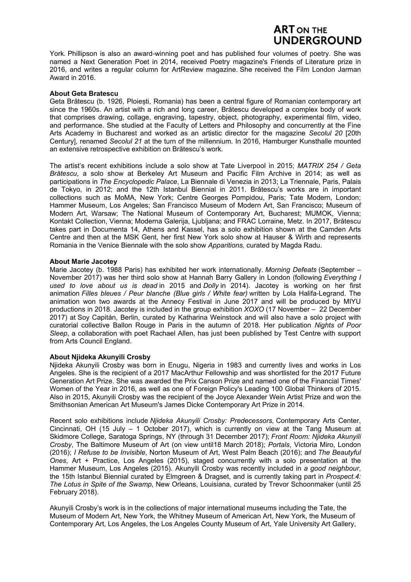## **ART ON THE JNDERGROUND**

York. Phillipson is also an award-winning poet and has published four volumes of poetry. She was named a Next Generation Poet in 2014, received Poetry magazine's Friends of Literature prize in 2016, and writes a regular column for ArtReview magazine. She received the Film London Jarman Award in 2016.

### **About Geta Bratescu**

Geta Brătescu (b. 1926, Ploiești, Romania) has been a central figure of Romanian contemporary art since the 1960s. An artist with a rich and long career, Brătescu developed a complex body of work that comprises drawing, collage, engraving, tapestry, object, photography, experimental film, video, and performance. She studied at the Faculty of Letters and Philosophy and concurrently at the Fine Arts Academy in Bucharest and worked as an artistic director for the magazine *Secolul 20* [20th Century], renamed *Secolul 21* at the turn of the millennium. In 2016, Hamburger Kunsthalle mounted an extensive retrospective exhibition on Brătescu's work.

The artist's recent exhibitions include a solo show at Tate Liverpool in 2015; *MATRIX 254 / Geta Brătescu*, a solo show at Berkeley Art Museum and Pacific Film Archive in 2014; as well as participations in *The Encyclopedic Palace*, La Biennale di Venezia in 2013; La Triennale, Paris, Palais de Tokyo, in 2012; and the 12th Istanbul Biennial in 2011. Brătescu's works are in important collections such as MoMA, New York; Centre Georges Pompidou, Paris; Tate Modern, London; Hammer Museum, Los Angeles; San Francisco Museum of Modern Art, San Francisco; Museum of Modern Art, Warsaw; The National Museum of Contemporary Art, Bucharest; MUMOK, Vienna; Kontakt Collection, Vienna; Moderna Galerija, Ljubljana; and FRAC Lorraine, Metz. In 2017, Brătescu takes part in Documenta 14, Athens and Kassel, has a solo exhibition shown at the Camden Arts Centre and then at the MSK Gent, her first New York solo show at Hauser & Wirth and represents Romania in the Venice Biennale with the solo show *Apparitions,* curated by Magda Radu.

### **About Marie Jacotey**

Marie Jacotey (b. 1988 Paris) has exhibited her work internationally. *Morning Defeats* (September – November 2017) was her third solo show at Hannah Barry Gallery in London (following *Everything I used to love about us is dead* in 2015 and *Dolly* in 2014). Jacotey is working on her first animation *Filles bleues / Peur blanche (Blue girls / White fear)* written by Lola Halifa-Legrand. The animation won two awards at the Annecy Festival in June 2017 and will be produced by MIYU productions in 2018. Jacotey is included in the group exhibition *XOXO* (17 November – 22 December 2017) at Soy Capitán, Berlin, curated by Katharina Weinstock and will also have a solo project with curatorial collective Ballon Rouge in Paris in the autumn of 2018. Her publication *Nights of Poor Sleep*, a collaboration with poet Rachael Allen, has just been published by Test Centre with support from Arts Council England.

### **About Njideka Akunyili Crosby**

Njideka Akunyili Crosby was born in Enugu, Nigeria in 1983 and currently lives and works in Los Angeles. She is the recipient of a 2017 MacArthur Fellowship and was shortlisted for the 2017 Future Generation Art Prize. She was awarded the Prix Canson Prize and named one of the Financial Times' Women of the Year in 2016, as well as one of Foreign Policy's Leading 100 Global Thinkers of 2015. Also in 2015, Akunyili Crosby was the recipient of the Joyce Alexander Wein Artist Prize and won the Smithsonian American Art Museum's James Dicke Contemporary Art Prize in 2014.

Recent solo exhibitions include *Njideka Akunyili Crosby: Predecessors,* Contemporary Arts Center, Cincinnati, OH (15 July – 1 October 2017), which is currently on view at the Tang Museum at Skidmore College, Saratoga Springs, NY (through 31 December 2017); *Front Room: Njideka Akunyili Crosby*, The Baltimore Museum of Art (on view until18 March 2018); *Portals*, Victoria Miro, London (2016); *I Refuse to be Invisible*, Norton Museum of Art, West Palm Beach (2016); and *The Beautyful Ones*, Art + Practice, Los Angeles (2015), staged concurrently with a solo presentation at the Hammer Museum, Los Angeles (2015). Akunyili Crosby was recently included in *a good neighbour*, the 15th Istanbul Biennial curated by Elmgreen & Dragset, and is currently taking part in *Prospect.4: The Lotus in Spite of the Swamp*, New Orleans, Louisiana, curated by Trevor Schoonmaker (until 25 February 2018).

Akunyili Crosby's work is in the collections of major international museums including the Tate, the Museum of Modern Art, New York, the Whitney Museum of American Art, New York, the Museum of Contemporary Art, Los Angeles, the Los Angeles County Museum of Art, Yale University Art Gallery,